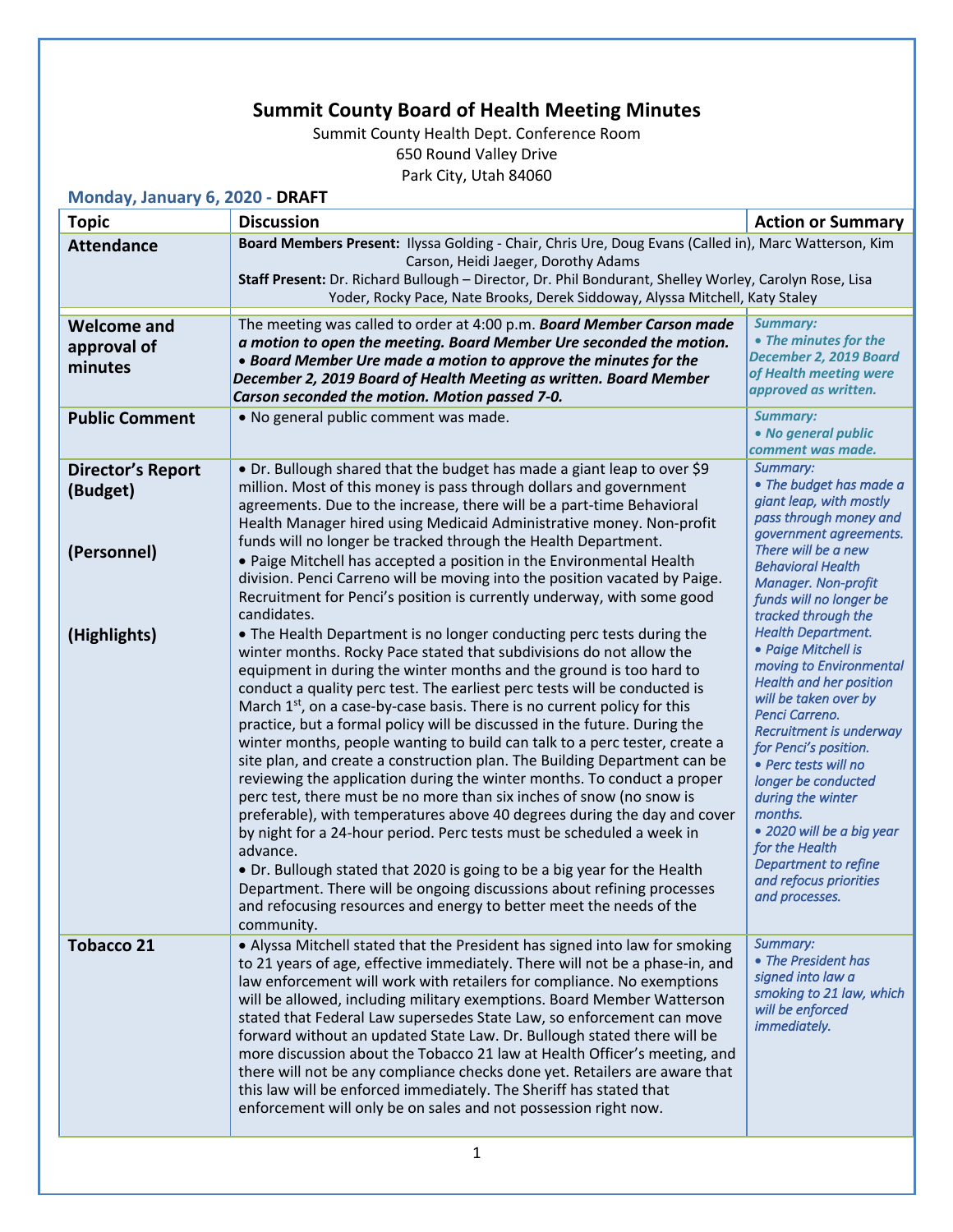## **Summit County Board of Health Meeting Minutes**

Summit County Health Dept. Conference Room 650 Round Valley Drive Park City, Utah 84060

**Monday, January 6, 2020 - DRAFT**

| <b>Topic</b>                                 | <b>Discussion</b>                                                                                                                                                                                                                                                                                                                                                                                                                                                                                                                                                                                                                                                                                                                                                                                                                                                                                                                                                                                                                                                                                                                                                                     | <b>Action or Summary</b>                                                                                                                                                                                                                                                                                                                                                                                       |
|----------------------------------------------|---------------------------------------------------------------------------------------------------------------------------------------------------------------------------------------------------------------------------------------------------------------------------------------------------------------------------------------------------------------------------------------------------------------------------------------------------------------------------------------------------------------------------------------------------------------------------------------------------------------------------------------------------------------------------------------------------------------------------------------------------------------------------------------------------------------------------------------------------------------------------------------------------------------------------------------------------------------------------------------------------------------------------------------------------------------------------------------------------------------------------------------------------------------------------------------|----------------------------------------------------------------------------------------------------------------------------------------------------------------------------------------------------------------------------------------------------------------------------------------------------------------------------------------------------------------------------------------------------------------|
| <b>Attendance</b>                            | Board Members Present: Ilyssa Golding - Chair, Chris Ure, Doug Evans (Called in), Marc Watterson, Kim<br>Carson, Heidi Jaeger, Dorothy Adams                                                                                                                                                                                                                                                                                                                                                                                                                                                                                                                                                                                                                                                                                                                                                                                                                                                                                                                                                                                                                                          |                                                                                                                                                                                                                                                                                                                                                                                                                |
|                                              | Staff Present: Dr. Richard Bullough - Director, Dr. Phil Bondurant, Shelley Worley, Carolyn Rose, Lisa<br>Yoder, Rocky Pace, Nate Brooks, Derek Siddoway, Alyssa Mitchell, Katy Staley                                                                                                                                                                                                                                                                                                                                                                                                                                                                                                                                                                                                                                                                                                                                                                                                                                                                                                                                                                                                |                                                                                                                                                                                                                                                                                                                                                                                                                |
| <b>Welcome and</b><br>approval of<br>minutes | The meeting was called to order at 4:00 p.m. Board Member Carson made<br>a motion to open the meeting. Board Member Ure seconded the motion.<br>• Board Member Ure made a motion to approve the minutes for the<br>December 2, 2019 Board of Health Meeting as written. Board Member<br>Carson seconded the motion. Motion passed 7-0.                                                                                                                                                                                                                                                                                                                                                                                                                                                                                                                                                                                                                                                                                                                                                                                                                                                | <b>Summary:</b><br>• The minutes for the<br>December 2, 2019 Board<br>of Health meeting were<br>approved as written.                                                                                                                                                                                                                                                                                           |
| <b>Public Comment</b>                        | . No general public comment was made.                                                                                                                                                                                                                                                                                                                                                                                                                                                                                                                                                                                                                                                                                                                                                                                                                                                                                                                                                                                                                                                                                                                                                 | <b>Summary:</b><br>• No general public<br>comment was made.                                                                                                                                                                                                                                                                                                                                                    |
| <b>Director's Report</b><br>(Budget)         | • Dr. Bullough shared that the budget has made a giant leap to over \$9<br>million. Most of this money is pass through dollars and government<br>agreements. Due to the increase, there will be a part-time Behavioral<br>Health Manager hired using Medicaid Administrative money. Non-profit<br>funds will no longer be tracked through the Health Department.                                                                                                                                                                                                                                                                                                                                                                                                                                                                                                                                                                                                                                                                                                                                                                                                                      | Summary:<br>• The budget has made a<br>giant leap, with mostly<br>pass through money and<br>government agreements.                                                                                                                                                                                                                                                                                             |
| (Personnel)                                  | . Paige Mitchell has accepted a position in the Environmental Health<br>division. Penci Carreno will be moving into the position vacated by Paige.<br>Recruitment for Penci's position is currently underway, with some good<br>candidates.                                                                                                                                                                                                                                                                                                                                                                                                                                                                                                                                                                                                                                                                                                                                                                                                                                                                                                                                           | There will be a new<br><b>Behavioral Health</b><br><b>Manager. Non-profit</b><br>funds will no longer be<br>tracked through the                                                                                                                                                                                                                                                                                |
| (Highlights)                                 | • The Health Department is no longer conducting perc tests during the<br>winter months. Rocky Pace stated that subdivisions do not allow the<br>equipment in during the winter months and the ground is too hard to<br>conduct a quality perc test. The earliest perc tests will be conducted is<br>March $1st$ , on a case-by-case basis. There is no current policy for this<br>practice, but a formal policy will be discussed in the future. During the<br>winter months, people wanting to build can talk to a perc tester, create a<br>site plan, and create a construction plan. The Building Department can be<br>reviewing the application during the winter months. To conduct a proper<br>perc test, there must be no more than six inches of snow (no snow is<br>preferable), with temperatures above 40 degrees during the day and cover<br>by night for a 24-hour period. Perc tests must be scheduled a week in<br>advance.<br>• Dr. Bullough stated that 2020 is going to be a big year for the Health<br>Department. There will be ongoing discussions about refining processes<br>and refocusing resources and energy to better meet the needs of the<br>community. | <b>Health Department.</b><br>• Paige Mitchell is<br>moving to Environmental<br><b>Health and her position</b><br>will be taken over by<br>Penci Carreno.<br>Recruitment is underway<br>for Penci's position.<br>• Perc tests will no<br>longer be conducted<br>during the winter<br>months.<br>• 2020 will be a big year<br>for the Health<br>Department to refine<br>and refocus priorities<br>and processes. |
| <b>Tobacco 21</b>                            | • Alyssa Mitchell stated that the President has signed into law for smoking<br>to 21 years of age, effective immediately. There will not be a phase-in, and<br>law enforcement will work with retailers for compliance. No exemptions<br>will be allowed, including military exemptions. Board Member Watterson<br>stated that Federal Law supersedes State Law, so enforcement can move<br>forward without an updated State Law. Dr. Bullough stated there will be<br>more discussion about the Tobacco 21 law at Health Officer's meeting, and<br>there will not be any compliance checks done yet. Retailers are aware that<br>this law will be enforced immediately. The Sheriff has stated that<br>enforcement will only be on sales and not possession right now.                                                                                                                                                                                                                                                                                                                                                                                                               | Summary:<br>• The President has<br>signed into law a<br>smoking to 21 law, which<br>will be enforced<br>immediately.                                                                                                                                                                                                                                                                                           |
|                                              |                                                                                                                                                                                                                                                                                                                                                                                                                                                                                                                                                                                                                                                                                                                                                                                                                                                                                                                                                                                                                                                                                                                                                                                       |                                                                                                                                                                                                                                                                                                                                                                                                                |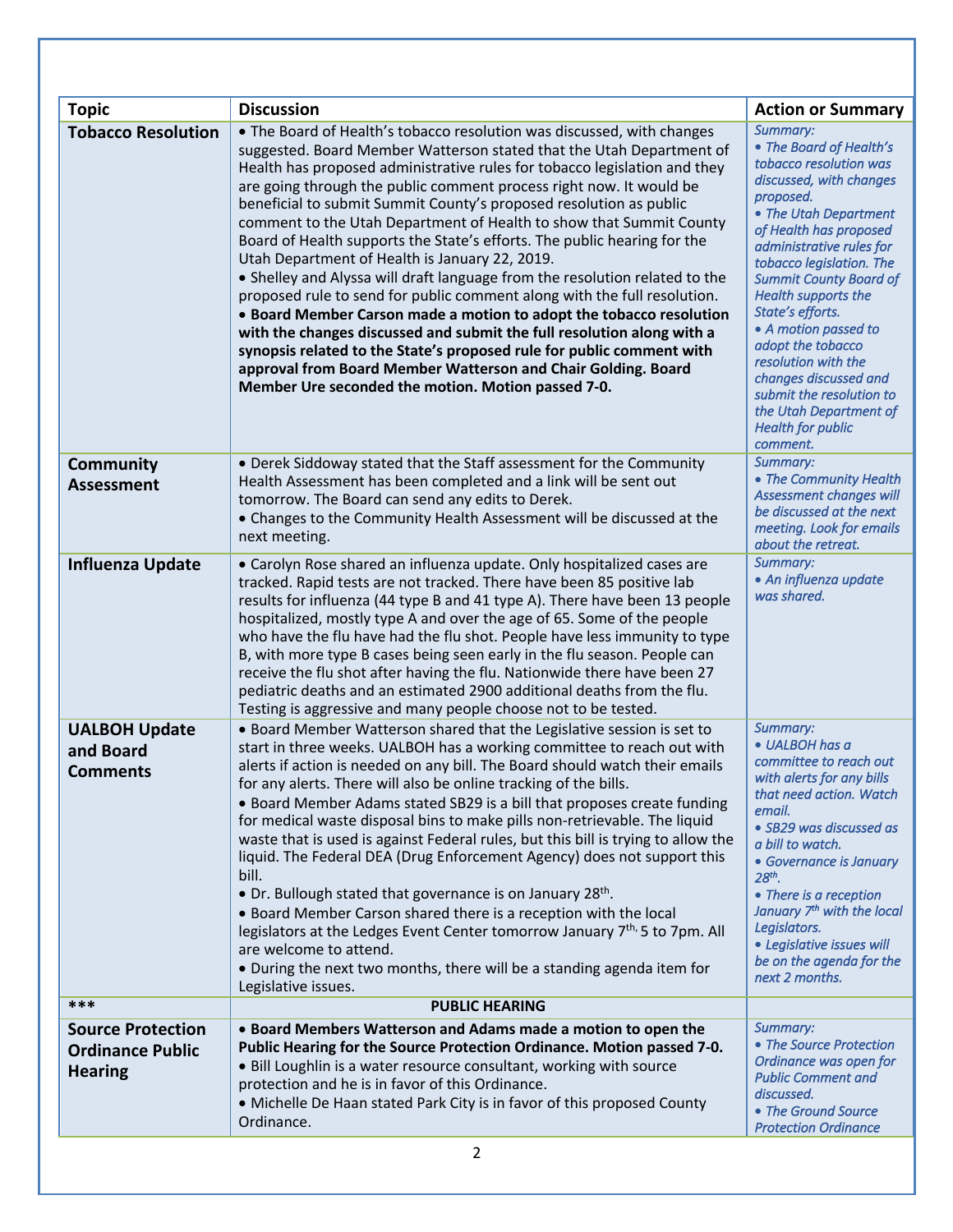| <b>Topic</b>                                                          | <b>Discussion</b>                                                                                                                                                                                                                                                                                                                                                                                                                                                                                                                                                                                                                                                                                                                                                                                                                                                                                                                                                                                                                                                                         | <b>Action or Summary</b>                                                                                                                                                                                                                                                                                                                                                                                                                                                                |
|-----------------------------------------------------------------------|-------------------------------------------------------------------------------------------------------------------------------------------------------------------------------------------------------------------------------------------------------------------------------------------------------------------------------------------------------------------------------------------------------------------------------------------------------------------------------------------------------------------------------------------------------------------------------------------------------------------------------------------------------------------------------------------------------------------------------------------------------------------------------------------------------------------------------------------------------------------------------------------------------------------------------------------------------------------------------------------------------------------------------------------------------------------------------------------|-----------------------------------------------------------------------------------------------------------------------------------------------------------------------------------------------------------------------------------------------------------------------------------------------------------------------------------------------------------------------------------------------------------------------------------------------------------------------------------------|
| <b>Tobacco Resolution</b>                                             | • The Board of Health's tobacco resolution was discussed, with changes<br>suggested. Board Member Watterson stated that the Utah Department of<br>Health has proposed administrative rules for tobacco legislation and they<br>are going through the public comment process right now. It would be<br>beneficial to submit Summit County's proposed resolution as public<br>comment to the Utah Department of Health to show that Summit County<br>Board of Health supports the State's efforts. The public hearing for the<br>Utah Department of Health is January 22, 2019.<br>• Shelley and Alyssa will draft language from the resolution related to the<br>proposed rule to send for public comment along with the full resolution.<br>• Board Member Carson made a motion to adopt the tobacco resolution<br>with the changes discussed and submit the full resolution along with a<br>synopsis related to the State's proposed rule for public comment with<br>approval from Board Member Watterson and Chair Golding. Board<br>Member Ure seconded the motion. Motion passed 7-0. | Summary:<br>• The Board of Health's<br>tobacco resolution was<br>discussed, with changes<br>proposed.<br>• The Utah Department<br>of Health has proposed<br>administrative rules for<br>tobacco legislation. The<br><b>Summit County Board of</b><br>Health supports the<br>State's efforts.<br>• A motion passed to<br>adopt the tobacco<br>resolution with the<br>changes discussed and<br>submit the resolution to<br>the Utah Department of<br><b>Health for public</b><br>comment. |
| <b>Community</b><br><b>Assessment</b>                                 | • Derek Siddoway stated that the Staff assessment for the Community<br>Health Assessment has been completed and a link will be sent out<br>tomorrow. The Board can send any edits to Derek.<br>• Changes to the Community Health Assessment will be discussed at the<br>next meeting.                                                                                                                                                                                                                                                                                                                                                                                                                                                                                                                                                                                                                                                                                                                                                                                                     | Summary:<br>• The Community Health<br>Assessment changes will<br>be discussed at the next<br>meeting. Look for emails<br>about the retreat.                                                                                                                                                                                                                                                                                                                                             |
| <b>Influenza Update</b>                                               | • Carolyn Rose shared an influenza update. Only hospitalized cases are<br>tracked. Rapid tests are not tracked. There have been 85 positive lab<br>results for influenza (44 type B and 41 type A). There have been 13 people<br>hospitalized, mostly type A and over the age of 65. Some of the people<br>who have the flu have had the flu shot. People have less immunity to type<br>B, with more type B cases being seen early in the flu season. People can<br>receive the flu shot after having the flu. Nationwide there have been 27<br>pediatric deaths and an estimated 2900 additional deaths from the flu.<br>Testing is aggressive and many people choose not to be tested.                                                                                                                                                                                                                                                                                                                                                                                                  | Summary:<br>• An influenza update<br>was shared.                                                                                                                                                                                                                                                                                                                                                                                                                                        |
| <b>UALBOH Update</b><br>and Board<br><b>Comments</b>                  | • Board Member Watterson shared that the Legislative session is set to<br>start in three weeks. UALBOH has a working committee to reach out with<br>alerts if action is needed on any bill. The Board should watch their emails<br>for any alerts. There will also be online tracking of the bills.<br>• Board Member Adams stated SB29 is a bill that proposes create funding<br>for medical waste disposal bins to make pills non-retrievable. The liquid<br>waste that is used is against Federal rules, but this bill is trying to allow the<br>liquid. The Federal DEA (Drug Enforcement Agency) does not support this<br>bill.<br>• Dr. Bullough stated that governance is on January 28 <sup>th</sup> .<br>. Board Member Carson shared there is a reception with the local<br>legislators at the Ledges Event Center tomorrow January 7 <sup>th,</sup> 5 to 7pm. All<br>are welcome to attend.<br>. During the next two months, there will be a standing agenda item for<br>Legislative issues.                                                                                   | Summary:<br>• UALBOH has a<br>committee to reach out<br>with alerts for any bills<br>that need action. Watch<br>email.<br>· SB29 was discussed as<br>a bill to watch.<br>• Governance is January<br>$28th$ .<br>• There is a reception<br>January 7 <sup>th</sup> with the local<br>Legislators.<br>• Legislative issues will<br>be on the agenda for the<br>next 2 months.                                                                                                             |
| ***                                                                   | <b>PUBLIC HEARING</b>                                                                                                                                                                                                                                                                                                                                                                                                                                                                                                                                                                                                                                                                                                                                                                                                                                                                                                                                                                                                                                                                     |                                                                                                                                                                                                                                                                                                                                                                                                                                                                                         |
| <b>Source Protection</b><br><b>Ordinance Public</b><br><b>Hearing</b> | • Board Members Watterson and Adams made a motion to open the<br>Public Hearing for the Source Protection Ordinance. Motion passed 7-0.<br>• Bill Loughlin is a water resource consultant, working with source<br>protection and he is in favor of this Ordinance.<br>• Michelle De Haan stated Park City is in favor of this proposed County<br>Ordinance.                                                                                                                                                                                                                                                                                                                                                                                                                                                                                                                                                                                                                                                                                                                               | Summary:<br>• The Source Protection<br>Ordinance was open for<br><b>Public Comment and</b><br>discussed.<br>• The Ground Source<br><b>Protection Ordinance</b>                                                                                                                                                                                                                                                                                                                          |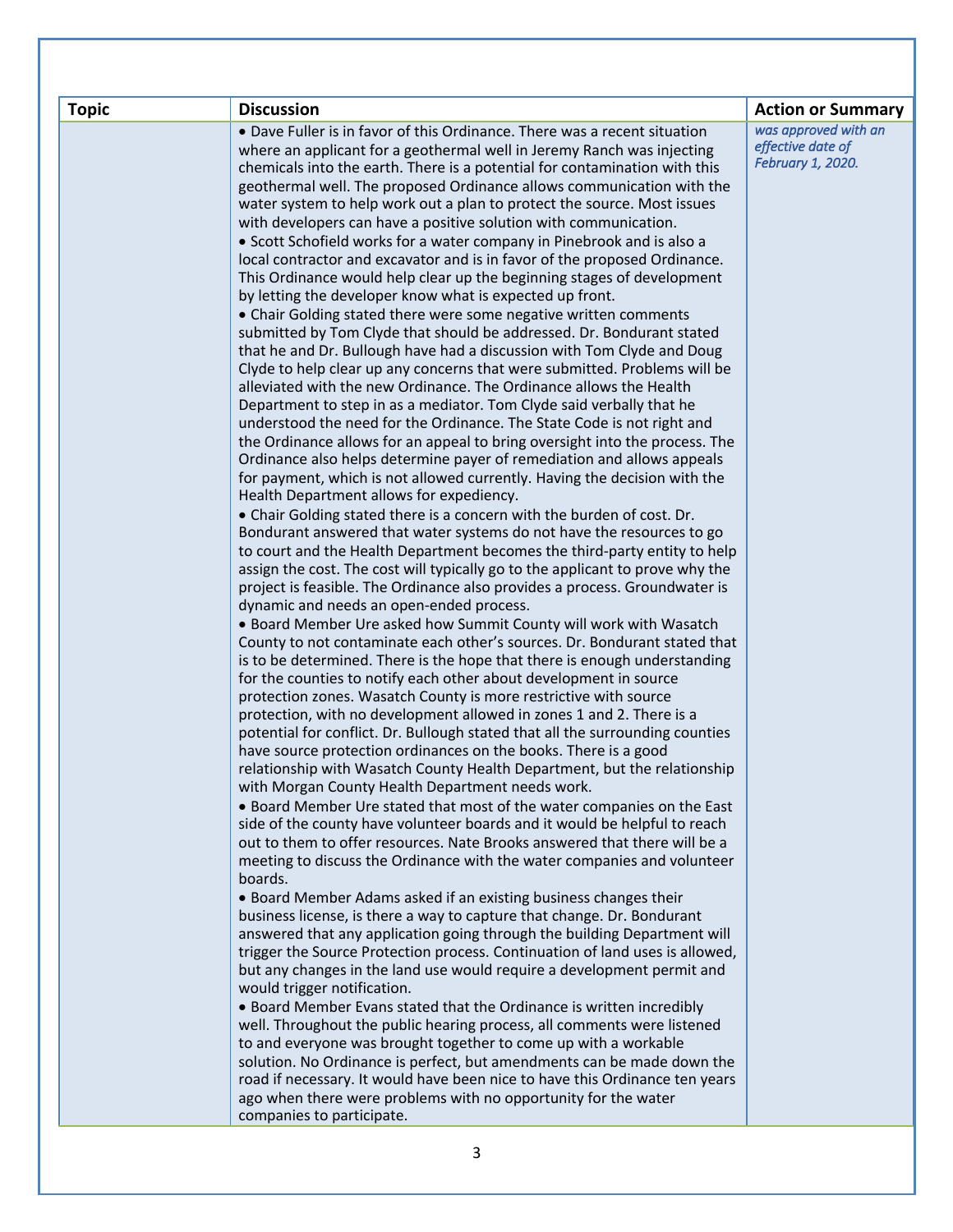| <b>Topic</b><br><b>Discussion</b> |                                                                                                                                                                                                                                                                                                                                                                                                                                                                                                                                                                                                                                                                                                                                                                                                                                                                                                                                                                                                                                                                                                                                                                                                                                                                                                                                                                                                                                                                                                                                                                                                                                                                                                                                                                                                                                                                                                                                                                                                                                                                                                                                                                                                                                                                                                                                                                                                                                                                                                                                                                                                                                                                                                                                                                                                                                                                                                                                                                                                                                                                                                                                                                                                                                                                                                                                                                                                                                                                                                                                                                                                                                                                                                                                                                                                                                                                                                                                                                     | <b>Action or Summary</b>                                       |
|-----------------------------------|---------------------------------------------------------------------------------------------------------------------------------------------------------------------------------------------------------------------------------------------------------------------------------------------------------------------------------------------------------------------------------------------------------------------------------------------------------------------------------------------------------------------------------------------------------------------------------------------------------------------------------------------------------------------------------------------------------------------------------------------------------------------------------------------------------------------------------------------------------------------------------------------------------------------------------------------------------------------------------------------------------------------------------------------------------------------------------------------------------------------------------------------------------------------------------------------------------------------------------------------------------------------------------------------------------------------------------------------------------------------------------------------------------------------------------------------------------------------------------------------------------------------------------------------------------------------------------------------------------------------------------------------------------------------------------------------------------------------------------------------------------------------------------------------------------------------------------------------------------------------------------------------------------------------------------------------------------------------------------------------------------------------------------------------------------------------------------------------------------------------------------------------------------------------------------------------------------------------------------------------------------------------------------------------------------------------------------------------------------------------------------------------------------------------------------------------------------------------------------------------------------------------------------------------------------------------------------------------------------------------------------------------------------------------------------------------------------------------------------------------------------------------------------------------------------------------------------------------------------------------------------------------------------------------------------------------------------------------------------------------------------------------------------------------------------------------------------------------------------------------------------------------------------------------------------------------------------------------------------------------------------------------------------------------------------------------------------------------------------------------------------------------------------------------------------------------------------------------------------------------------------------------------------------------------------------------------------------------------------------------------------------------------------------------------------------------------------------------------------------------------------------------------------------------------------------------------------------------------------------------------------------------------------------------------------------------------------------------|----------------------------------------------------------------|
| boards.                           | • Dave Fuller is in favor of this Ordinance. There was a recent situation<br>where an applicant for a geothermal well in Jeremy Ranch was injecting<br>chemicals into the earth. There is a potential for contamination with this<br>geothermal well. The proposed Ordinance allows communication with the<br>water system to help work out a plan to protect the source. Most issues<br>with developers can have a positive solution with communication.<br>• Scott Schofield works for a water company in Pinebrook and is also a<br>local contractor and excavator and is in favor of the proposed Ordinance.<br>This Ordinance would help clear up the beginning stages of development<br>by letting the developer know what is expected up front.<br>• Chair Golding stated there were some negative written comments<br>submitted by Tom Clyde that should be addressed. Dr. Bondurant stated<br>that he and Dr. Bullough have had a discussion with Tom Clyde and Doug<br>Clyde to help clear up any concerns that were submitted. Problems will be<br>alleviated with the new Ordinance. The Ordinance allows the Health<br>Department to step in as a mediator. Tom Clyde said verbally that he<br>understood the need for the Ordinance. The State Code is not right and<br>the Ordinance allows for an appeal to bring oversight into the process. The<br>Ordinance also helps determine payer of remediation and allows appeals<br>for payment, which is not allowed currently. Having the decision with the<br>Health Department allows for expediency.<br>• Chair Golding stated there is a concern with the burden of cost. Dr.<br>Bondurant answered that water systems do not have the resources to go<br>to court and the Health Department becomes the third-party entity to help<br>assign the cost. The cost will typically go to the applicant to prove why the<br>project is feasible. The Ordinance also provides a process. Groundwater is<br>dynamic and needs an open-ended process.<br>. Board Member Ure asked how Summit County will work with Wasatch<br>County to not contaminate each other's sources. Dr. Bondurant stated that<br>is to be determined. There is the hope that there is enough understanding<br>for the counties to notify each other about development in source<br>protection zones. Wasatch County is more restrictive with source<br>protection, with no development allowed in zones 1 and 2. There is a<br>potential for conflict. Dr. Bullough stated that all the surrounding counties<br>have source protection ordinances on the books. There is a good<br>relationship with Wasatch County Health Department, but the relationship<br>with Morgan County Health Department needs work.<br>• Board Member Ure stated that most of the water companies on the East<br>side of the county have volunteer boards and it would be helpful to reach<br>out to them to offer resources. Nate Brooks answered that there will be a<br>meeting to discuss the Ordinance with the water companies and volunteer<br>• Board Member Adams asked if an existing business changes their<br>business license, is there a way to capture that change. Dr. Bondurant<br>answered that any application going through the building Department will<br>trigger the Source Protection process. Continuation of land uses is allowed,<br>but any changes in the land use would require a development permit and<br>would trigger notification.<br>• Board Member Evans stated that the Ordinance is written incredibly<br>well. Throughout the public hearing process, all comments were listened<br>to and everyone was brought together to come up with a workable<br>solution. No Ordinance is perfect, but amendments can be made down the<br>road if necessary. It would have been nice to have this Ordinance ten years<br>ago when there were problems with no opportunity for the water<br>companies to participate. | was approved with an<br>effective date of<br>February 1, 2020. |